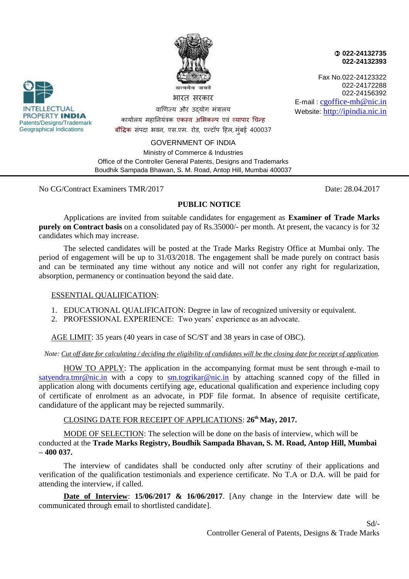

 **022-24132735 022-24132393**

Fax No.022-24123322 022-24172288 022-24156392 E-mail : [cgoffice-mh@nic.in](mailto:cgoffice-mh@nic.in) Website: [http://ipindia.nic.in](http://ipindia.nic.in/)



वाणिज्य और उद्योग मंत्रालय कायाालय महानियंत्रक [एकस्व](http://dict.hinkhoj.com/words/meaning-of-एकस्व%20अधिकार%20प्राप्तअना-in-english.html) [अभभकल्प](http://dict.hinkhoj.com/words/meaning-of-अभिकल्पना-in-english.html) एवं [व्यापार चिन्ह](http://dict.hinkhoj.com/words/meaning-of-व्यापार%20चिह्न-in-english.html)  [बौद्धिक](http://dict.hinkhoj.com/words/meaning-of-बौद्धिक-in-english.html) संपदा भवन, एस.एम. रोड, एन्टॉप हिल, मुंबई 400037

GOVERNMENT OF INDIA

Ministry of Commerce & Industries Office of the Controller General Patents, Designs and Trademarks Boudhik Sampada Bhawan, S. M. Road, Antop Hill, Mumbai 400037

No CG/Contract Examiners TMR/2017 Date: 28.04.2017

# **PUBLIC NOTICE**

Applications are invited from suitable candidates for engagement as **Examiner of Trade Marks purely on Contract basis** on a consolidated pay of Rs.35000/- per month. At present, the vacancy is for 32 candidates which may increase.

The selected candidates will be posted at the Trade Marks Registry Office at Mumbai only. The period of engagement will be up to 31/03/2018. The engagement shall be made purely on contract basis and can be terminated any time without any notice and will not confer any right for regularization, absorption, permanency or continuation beyond the said date.

## ESSENTIAL QUALIFICATION:

- 1. EDUCATIONAL QUALIFICAITON: Degree in law of recognized university or equivalent.
- 2. PROFESSIONAL EXPERIENCE: Two years' experience as an advocate.

AGE LIMIT: 35 years (40 years in case of SC/ST and 38 years in case of OBC).

### *Note: Cut off date for calculating / deciding the eligibility of candidates will be the closing date for receipt of application.*

HOW TO APPLY: The application in the accompanying format must be sent through e-mail to [satyendra.tmr@nic.in](mailto:satyendra.tmr@nic.in) with a copy to [sm.togrikar@nic.in](mailto:sm.togrikar@nic.in) by attaching scanned copy of the filled in application along with documents certifying age, educational qualification and experience including copy of certificate of enrolment as an advocate, in PDF file format. In absence of requisite certificate, candidature of the applicant may be rejected summarily.

## CLOSING DATE FOR RECEIPT OF APPLICATIONS: **26th May, 2017.**

MODE OF SELECTION: The selection will be done on the basis of interview, which will be conducted at the **Trade Marks Registry, Boudhik Sampada Bhavan, S. M. Road, Antop Hill, Mumbai – 400 037.** 

The interview of candidates shall be conducted only after scrutiny of their applications and verification of the qualification testimonials and experience certificate. No T.A or D.A. will be paid for attending the interview, if called.

**Date of Interview**: **15/06/2017 & 16/06/2017**. [Any change in the Interview date will be communicated through email to shortlisted candidate].